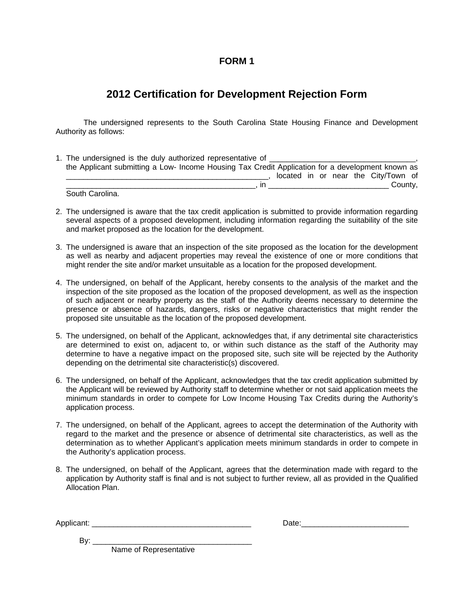#### **FORM 1**

## **2012 Certification for Development Rejection Form**

The undersigned represents to the South Carolina State Housing Finance and Development Authority as follows:

- 1. The undersigned is the duly authorized representative of \_ the Applicant submitting a Low- Income Housing Tax Credit Application for a development known as \_\_\_\_\_\_\_\_\_\_\_\_\_\_\_\_\_\_\_\_\_\_\_\_\_\_\_\_\_\_\_\_\_\_\_\_\_\_\_\_\_\_\_\_\_\_\_, located in or near the City/Town of \_\_\_\_\_\_\_\_\_\_\_\_\_\_\_\_\_\_\_\_\_\_\_\_\_\_\_\_\_\_\_\_\_\_\_\_\_\_\_\_\_\_\_\_, in \_\_\_\_\_\_\_\_\_\_\_\_\_\_\_\_\_\_\_\_\_\_\_\_\_\_\_\_ County, South Carolina.
- 2. The undersigned is aware that the tax credit application is submitted to provide information regarding several aspects of a proposed development, including information regarding the suitability of the site and market proposed as the location for the development.
- 3. The undersigned is aware that an inspection of the site proposed as the location for the development as well as nearby and adjacent properties may reveal the existence of one or more conditions that might render the site and/or market unsuitable as a location for the proposed development.
- 4. The undersigned, on behalf of the Applicant, hereby consents to the analysis of the market and the inspection of the site proposed as the location of the proposed development, as well as the inspection of such adjacent or nearby property as the staff of the Authority deems necessary to determine the presence or absence of hazards, dangers, risks or negative characteristics that might render the proposed site unsuitable as the location of the proposed development.
- 5. The undersigned, on behalf of the Applicant, acknowledges that, if any detrimental site characteristics are determined to exist on, adjacent to, or within such distance as the staff of the Authority may determine to have a negative impact on the proposed site, such site will be rejected by the Authority depending on the detrimental site characteristic(s) discovered.
- 6. The undersigned, on behalf of the Applicant, acknowledges that the tax credit application submitted by the Applicant will be reviewed by Authority staff to determine whether or not said application meets the minimum standards in order to compete for Low Income Housing Tax Credits during the Authority's application process.
- 7. The undersigned, on behalf of the Applicant, agrees to accept the determination of the Authority with regard to the market and the presence or absence of detrimental site characteristics, as well as the determination as to whether Applicant's application meets minimum standards in order to compete in the Authority's application process.
- 8. The undersigned, on behalf of the Applicant, agrees that the determination made with regard to the application by Authority staff is final and is not subject to further review, all as provided in the Qualified Allocation Plan.

Applicant: \_\_\_\_\_\_\_\_\_\_\_\_\_\_\_\_\_\_\_\_\_\_\_\_\_\_\_\_\_\_\_\_\_\_\_\_\_ Date:\_\_\_\_\_\_\_\_\_\_\_\_\_\_\_\_\_\_\_\_\_\_\_\_\_

| Date: |  |  |  |
|-------|--|--|--|
|       |  |  |  |

By: \_\_\_\_\_\_\_\_\_\_\_\_\_\_\_\_\_\_\_\_\_\_\_\_\_\_\_\_\_\_\_\_\_\_\_\_\_

Name of Representative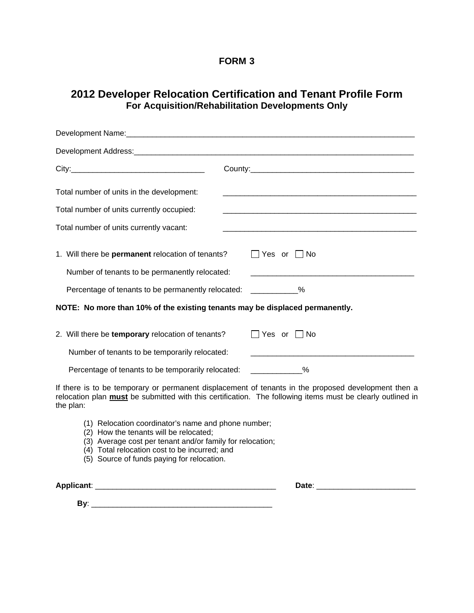#### **FORM 3**

### **2012 Developer Relocation Certification and Tenant Profile Form For Acquisition/Rehabilitation Developments Only**

| Development Name: Manual Manual Manual Manual Manual Manual Manual Manual Manual Manual Manual Manual Manual                                                            |                                                                                                                                                                                                                   |
|-------------------------------------------------------------------------------------------------------------------------------------------------------------------------|-------------------------------------------------------------------------------------------------------------------------------------------------------------------------------------------------------------------|
|                                                                                                                                                                         |                                                                                                                                                                                                                   |
|                                                                                                                                                                         |                                                                                                                                                                                                                   |
| Total number of units in the development:<br>Total number of units currently occupied:<br>Total number of units currently vacant:                                       |                                                                                                                                                                                                                   |
| 1. Will there be permanent relocation of tenants?<br>Number of tenants to be permanently relocated:<br>Percentage of tenants to be permanently relocated: ____________% | $\Box$ Yes or $\Box$ No                                                                                                                                                                                           |
| NOTE: No more than 10% of the existing tenants may be displaced permanently.                                                                                            |                                                                                                                                                                                                                   |
| 2. Will there be temporary relocation of tenants?<br>Number of tenants to be temporarily relocated:<br>Percentage of tenants to be temporarily relocated:               | $\Box$ Yes or $\Box$ No<br>$\sim$ $\sim$ $\sim$ $\sim$                                                                                                                                                            |
| the plan:                                                                                                                                                               | If there is to be temporary or permanent displacement of tenants in the proposed development then a<br>relocation plan must be submitted with this certification. The following items must be clearly outlined in |
| (1) Relocation coordinator's name and phone number;<br>(2) How the tenants will be relocated;                                                                           |                                                                                                                                                                                                                   |

- (3) Average cost per tenant and/or family for relocation;
- (4) Total relocation cost to be incurred; and
- (5) Source of funds paying for relocation.

**Applicant**: \_\_\_\_\_\_\_\_\_\_\_\_\_\_\_\_\_\_\_\_\_\_\_\_\_\_\_\_\_\_\_\_\_\_\_\_\_\_\_\_\_\_ **Date**: \_\_\_\_\_\_\_\_\_\_\_\_\_\_\_\_\_\_\_\_\_\_\_

 **By**: \_\_\_\_\_\_\_\_\_\_\_\_\_\_\_\_\_\_\_\_\_\_\_\_\_\_\_\_\_\_\_\_\_\_\_\_\_\_\_\_\_\_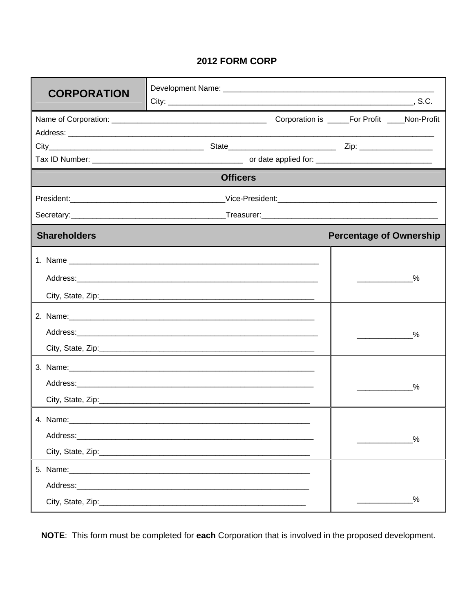# 2012 FORM CORP

| <b>CORPORATION</b>                                                                                            |                 |                                |               |
|---------------------------------------------------------------------------------------------------------------|-----------------|--------------------------------|---------------|
|                                                                                                               |                 |                                |               |
|                                                                                                               |                 |                                |               |
|                                                                                                               |                 |                                |               |
|                                                                                                               |                 |                                |               |
|                                                                                                               |                 |                                |               |
|                                                                                                               | <b>Officers</b> |                                |               |
|                                                                                                               |                 |                                |               |
|                                                                                                               |                 |                                |               |
| <b>Shareholders</b>                                                                                           |                 | <b>Percentage of Ownership</b> |               |
|                                                                                                               |                 |                                |               |
|                                                                                                               |                 |                                | %             |
|                                                                                                               |                 |                                |               |
|                                                                                                               |                 |                                |               |
| 2. Name: 2008. 2008. 2009. 2009. 2010. 2010. 2010. 2010. 2010. 2010. 2010. 2010. 2010. 2010. 2010. 2010. 2010 |                 |                                |               |
|                                                                                                               |                 |                                | $\frac{9}{6}$ |
|                                                                                                               |                 |                                |               |
|                                                                                                               |                 |                                |               |
|                                                                                                               |                 |                                |               |
| City, State, Zip: 2000 City, State, 2001                                                                      |                 |                                | $\frac{0}{2}$ |
|                                                                                                               |                 |                                |               |
|                                                                                                               |                 |                                |               |
|                                                                                                               |                 |                                | %             |
|                                                                                                               |                 |                                |               |
| Address: Address:                                                                                             |                 |                                |               |
|                                                                                                               |                 |                                | $\%$          |
|                                                                                                               |                 |                                |               |

NOTE: This form must be completed for each Corporation that is involved in the proposed development.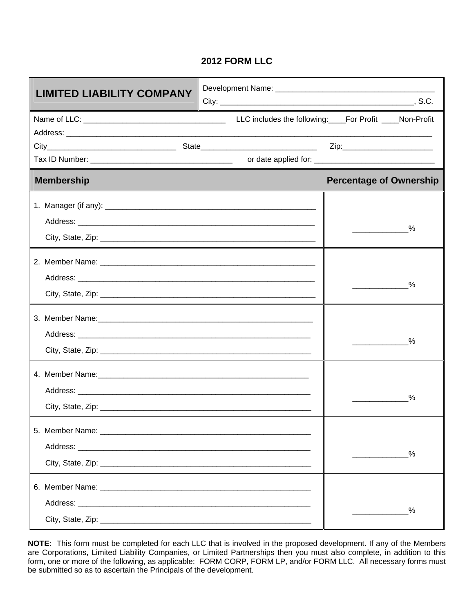### **2012 FORM LLC**

| <b>LIMITED LIABILITY COMPANY</b> |                                |
|----------------------------------|--------------------------------|
|                                  |                                |
|                                  |                                |
|                                  |                                |
| <b>Membership</b>                | <b>Percentage of Ownership</b> |
|                                  | $\%$                           |
|                                  | $\%$                           |
|                                  | %                              |
|                                  | %                              |
|                                  | $\%$                           |
|                                  | $\%$                           |

**NOTE**: This form must be completed for each LLC that is involved in the proposed development. If any of the Members are Corporations, Limited Liability Companies, or Limited Partnerships then you must also complete, in addition to this form, one or more of the following, as applicable: FORM CORP, FORM LP, and/or FORM LLC. All necessary forms must be submitted so as to ascertain the Principals of the development.